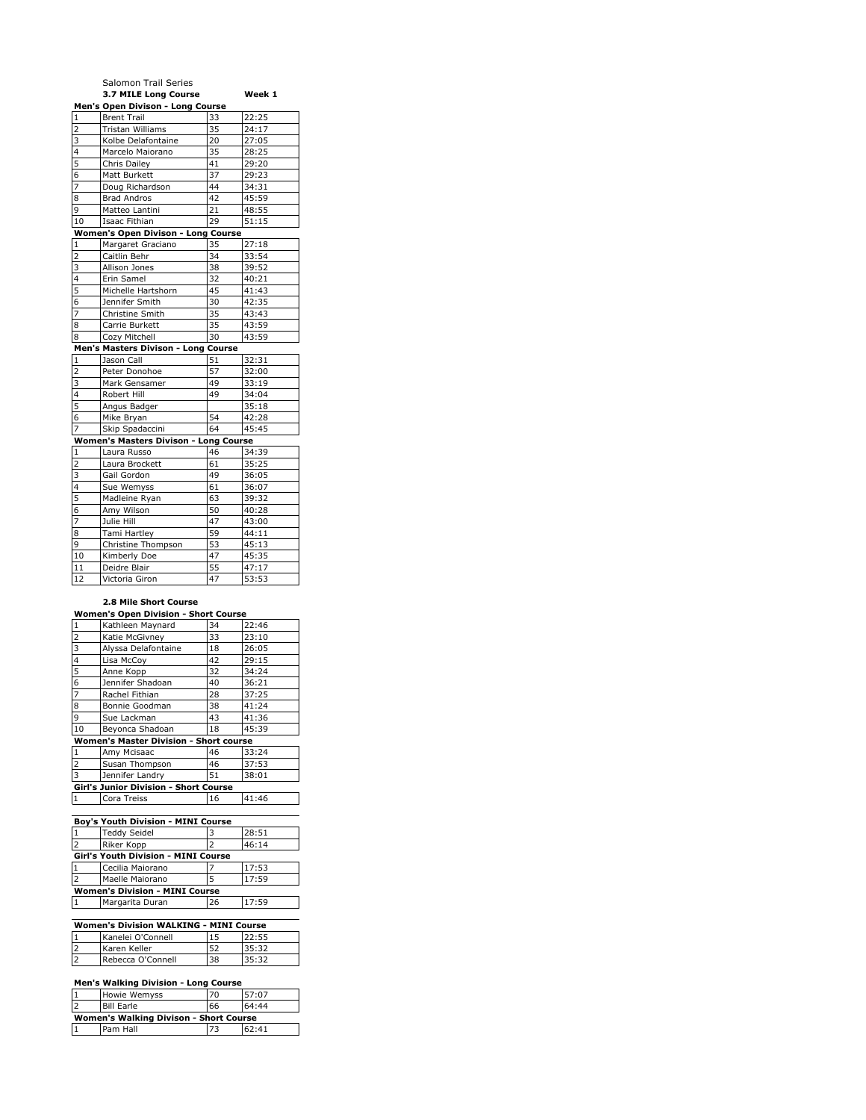|                         | Salomon Trail Series                         |    |        |
|-------------------------|----------------------------------------------|----|--------|
|                         | 3.7 MILE Long Course                         |    | Week 1 |
|                         | Men's Open Divison - Long Course             |    |        |
| $\mathbf{1}$            | <b>Brent Trail</b>                           | 33 | 22:25  |
| $\overline{2}$          | Tristan Williams                             | 35 | 24:17  |
| 3                       | Kolbe Delafontaine                           | 20 | 27:05  |
| 4                       | Marcelo Maiorano                             | 35 | 28:25  |
| 5                       | Chris Dailey                                 | 41 | 29:20  |
| 6                       | Matt Burkett                                 | 37 | 29:23  |
| 7                       | Doug Richardson                              | 44 | 34:31  |
| 8                       | <b>Brad Andros</b>                           | 42 | 45:59  |
| 9                       | Matteo Lantini                               | 21 | 48:55  |
| 10                      | Isaac Fithian                                | 29 | 51:15  |
|                         | Women's Open Divison - Long Course           |    |        |
| 1                       | Margaret Graciano                            | 35 | 27:18  |
| $\overline{\mathbf{c}}$ | Caitlin Behr                                 | 34 | 33:54  |
| 3                       | Allison Jones                                | 38 | 39:52  |
| $\overline{4}$          | Erin Samel                                   | 32 | 40:21  |
| 5                       | Michelle Hartshorn                           | 45 | 41:43  |
| 6                       | Jennifer Smith                               | 30 | 42:35  |
| $\overline{7}$          | Christine Smith                              | 35 | 43:43  |
| 8                       | Carrie Burkett                               | 35 | 43:59  |
| 8                       | Cozy Mitchell                                | 30 | 43:59  |
|                         | Men's Masters Divison - Long Course          |    |        |
| $\mathbf{1}$            | Jason Call                                   | 51 | 32:31  |
| $\overline{2}$          | Peter Donohoe                                | 57 | 32:00  |
| 3                       | Mark Gensamer                                | 49 | 33:19  |
| 4                       | Robert Hill                                  | 49 | 34:04  |
| 5                       | Angus Badger                                 |    | 35:18  |
| 6                       | Mike Bryan                                   | 54 | 42:28  |
| 7                       | Skip Spadaccini                              | 64 | 45:45  |
|                         | <b>Women's Masters Divison - Long Course</b> |    |        |
| 1                       | Laura Russo                                  | 46 | 34:39  |
| $\overline{\mathbf{c}}$ | Laura Brockett                               | 61 | 35:25  |
| 3                       | Gail Gordon                                  | 49 | 36:05  |
| 4                       | Sue Wemyss                                   | 61 | 36:07  |
| 5                       | Madleine Ryan                                | 63 | 39:32  |
| 6                       | Amy Wilson                                   | 50 | 40:28  |
| 7                       | Julie Hill                                   | 47 | 43:00  |
| 8                       | Tami Hartley                                 | 59 | 44:11  |
| 9                       | Christine Thompson                           | 53 | 45:13  |
| 10                      | Kimberly Doe                                 | 47 | 45:35  |
| 11                      | Deidre Blair                                 | 55 | 47:17  |
| 12                      | Victoria Giron                               | 47 | 53:53  |
|                         |                                              |    |        |

## **2.8 Mile Short Course**

| <b>Women's Open Division - Short Course</b> |                                               |    |       |  |
|---------------------------------------------|-----------------------------------------------|----|-------|--|
| $\mathbf{1}$                                | Kathleen Maynard                              | 34 | 22:46 |  |
| $\overline{2}$                              | Katie McGivney                                | 33 | 23:10 |  |
| 3                                           | Alyssa Delafontaine                           | 18 | 26:05 |  |
| $\overline{\mathbf{4}}$                     | Lisa McCov                                    | 42 | 29:15 |  |
| $\overline{5}$                              | Anne Kopp                                     | 32 | 34:24 |  |
| 6                                           | Jennifer Shadoan                              | 40 | 36:21 |  |
| $\overline{7}$                              | Rachel Fithian                                | 28 | 37:25 |  |
| 8                                           | Bonnie Goodman                                | 38 | 41:24 |  |
| 9                                           | Sue Lackman                                   | 43 | 41:36 |  |
| 10                                          | Beyonca Shadoan                               | 18 | 45:39 |  |
|                                             | <b>Women's Master Division - Short course</b> |    |       |  |
| $\mathbf{1}$                                | Amy Mcisaac                                   | 46 | 33:24 |  |
| $\overline{2}$                              | Susan Thompson                                | 46 | 37:53 |  |
| 3                                           | Jennifer Landry                               | 51 | 38:01 |  |
| Girl's Junior Division - Short Course       |                                               |    |       |  |
| 1                                           | Cora Treiss                                   | 16 | 41:46 |  |

| Boy's Youth Division - MINI Course         |                     |    |       |
|--------------------------------------------|---------------------|----|-------|
|                                            | <b>Teddy Seidel</b> |    | 28:51 |
|                                            | Riker Kopp          |    | 46:14 |
| <b>Girl's Youth Division - MINI Course</b> |                     |    |       |
|                                            | Cecilia Maiorano    |    | 17:53 |
|                                            | Maelle Maiorano     |    | 17:59 |
| <b>Women's Division - MINI Course</b>      |                     |    |       |
|                                            | Margarita Duran     | 26 | 17:59 |

| <b>Women's Division WALKING - MINI Course</b> |    |       |
|-----------------------------------------------|----|-------|
| Kanelei O'Connell                             | 15 | 22:55 |
| Karen Keller                                  |    | 35:32 |
| Rebecca O'Connell                             | 38 | 35:32 |

## **Men's Walking Division - Long Course**

|                                        | <b>Howie Wemyss</b> | 70 | 57:07 |
|----------------------------------------|---------------------|----|-------|
| I 7                                    | <b>Bill Earle</b>   | 66 | 64:44 |
| Women's Walking Divison - Short Course |                     |    |       |
|                                        |                     |    |       |